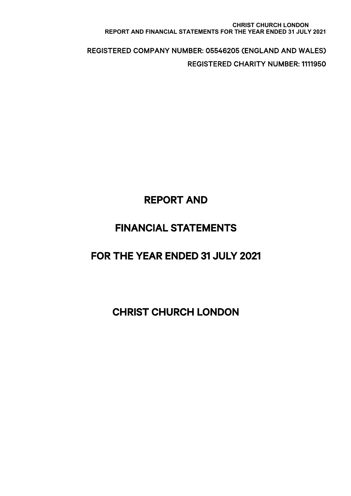#### **CHRIST CHURCH LONDON REPORT AND FINANCIAL STATEMENTS FOR THE YEAR ENDED 31 JULY 2021**

 REGISTERED COMPANY NUMBER: 05546205 (ENGLAND AND WALES) REGISTERED CHARITY NUMBER: 1111950

# REPORT AND

# FINANCIAL STATEMENTS

# FOR THE YEAR ENDED 31 JULY 2021

# CHRIST CHURCH LONDON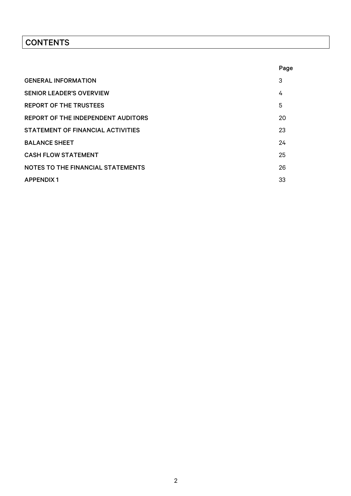# **CONTENTS**

|                                          | Page |
|------------------------------------------|------|
| <b>GENERAL INFORMATION</b>               | 3    |
| <b>SENIOR LEADER'S OVERVIEW</b>          | 4    |
| <b>REPORT OF THE TRUSTEES</b>            | 5    |
| REPORT OF THE INDEPENDENT AUDITORS       | 20   |
| STATEMENT OF FINANCIAL ACTIVITIES        | 23   |
| <b>BALANCE SHEET</b>                     | 24   |
| <b>CASH FLOW STATEMENT</b>               | 25   |
| <b>NOTES TO THE FINANCIAL STATEMENTS</b> | 26   |
| <b>APPENDIX1</b>                         | 33   |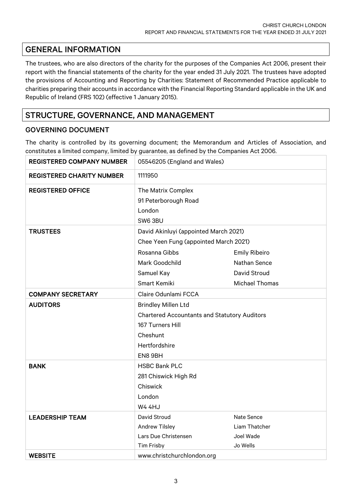# GENERAL INFORMATION

The trustees, who are also directors of the charity for the purposes of the Companies Act 2006, present their report with the financial statements of the charity for the year ended 31 July 2021. The trustees have adopted the provisions of Accounting and Reporting by Charities: Statement of Recommended Practice applicable to charities preparing their accounts in accordance with the Financial Reporting Standard applicable in the UK and Republic of Ireland (FRS 102) (effective 1 January 2015).

# STRUCTURE, GOVERNANCE, AND MANAGEMENT

## GOVERNING DOCUMENT

The charity is controlled by its governing document; the Memorandum and Articles of Association, and constitutes a limited company, limited by guarantee, as defined by the Companies Act 2006.

| <b>REGISTERED COMPANY NUMBER</b> | 05546205 (England and Wales)                                   |                       |  |  |
|----------------------------------|----------------------------------------------------------------|-----------------------|--|--|
| <b>REGISTERED CHARITY NUMBER</b> | 1111950                                                        |                       |  |  |
| <b>REGISTERED OFFICE</b>         | The Matrix Complex<br>91 Peterborough Road<br>London<br>SW63BU |                       |  |  |
| <b>TRUSTEES</b>                  | David Akinluyi (appointed March 2021)                          |                       |  |  |
|                                  | Chee Yeen Fung (appointed March 2021)                          |                       |  |  |
|                                  | Rosanna Gibbs                                                  | <b>Emily Ribeiro</b>  |  |  |
|                                  | Mark Goodchild                                                 | Nathan Sence          |  |  |
|                                  | Samuel Kay                                                     | David Stroud          |  |  |
|                                  | Smart Kemiki                                                   | <b>Michael Thomas</b> |  |  |
| <b>COMPANY SECRETARY</b>         | Claire Odunlami FCCA                                           |                       |  |  |
| <b>AUDITORS</b>                  | <b>Brindley Millen Ltd</b>                                     |                       |  |  |
|                                  | <b>Chartered Accountants and Statutory Auditors</b>            |                       |  |  |
|                                  | 167 Turners Hill                                               |                       |  |  |
|                                  | Cheshunt                                                       |                       |  |  |
|                                  | Hertfordshire                                                  |                       |  |  |
|                                  | EN8 9BH                                                        |                       |  |  |
| <b>BANK</b>                      | <b>HSBC Bank PLC</b>                                           |                       |  |  |
|                                  | 281 Chiswick High Rd                                           |                       |  |  |
|                                  | Chiswick                                                       |                       |  |  |
|                                  | London                                                         |                       |  |  |
|                                  | <b>W4 4HJ</b>                                                  |                       |  |  |
| <b>LEADERSHIP TEAM</b>           | David Stroud                                                   | Nate Sence            |  |  |
|                                  | <b>Andrew Tilsley</b>                                          | Liam Thatcher         |  |  |
|                                  | Lars Due Christensen                                           | Joel Wade             |  |  |
|                                  | Tim Frisby                                                     | Jo Wells              |  |  |
| <b>WEBSITE</b>                   | www.christchurchlondon.org                                     |                       |  |  |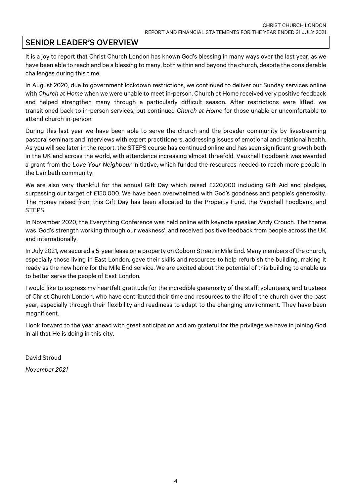# SENIOR LEADER'S OVERVIEW

It is a joy to report that Christ Church London has known God's blessing in many ways over the last year, as we have been able to reach and be a blessing to many, both within and beyond the church, despite the considerable challenges during this time.

In August 2020, due to government lockdown restrictions, we continued to deliver our Sunday services online with *Church at Home* when we were unable to meet in-person. Church at Home received very positive feedback and helped strengthen many through a particularly difficult season. After restrictions were lifted, we transitioned back to in-person services, but continued *Church at Home* for those unable or uncomfortable to attend church in-person.

During this last year we have been able to serve the church and the broader community by livestreaming pastoral seminars and interviews with expert practitioners, addressing issues of emotional and relational health. As you will see later in the report, the STEPS course has continued online and has seen significant growth both in the UK and across the world, with attendance increasing almost threefold. Vauxhall Foodbank was awarded a grant from the *Love Your Neighbour* initiative, which funded the resources needed to reach more people in the Lambeth community.

We are also very thankful for the annual Gift Day which raised £220,000 including Gift Aid and pledges, surpassing our target of £150,000. We have been overwhelmed with God's goodness and people's generosity. The money raised from this Gift Day has been allocated to the Property Fund, the Vauxhall Foodbank, and STEPS.

In November 2020, the Everything Conference was held online with keynote speaker Andy Crouch. The theme was 'God's strength working through our weakness', and received positive feedback from people across the UK and internationally.

In July 2021, we secured a 5-year lease on a property on Coborn Street in Mile End. Many members of the church, especially those living in East London, gave their skills and resources to help refurbish the building, making it ready as the new home for the Mile End service. We are excited about the potential of this building to enable us to better serve the people of East London.

I would like to express my heartfelt gratitude for the incredible generosity of the staff, volunteers, and trustees of Christ Church London, who have contributed their time and resources to the life of the church over the past year, especially through their flexibility and readiness to adapt to the changing environment. They have been magnificent.

I look forward to the year ahead with great anticipation and am grateful for the privilege we have in joining God in all that He is doing in this city.

David Stroud *November 2021*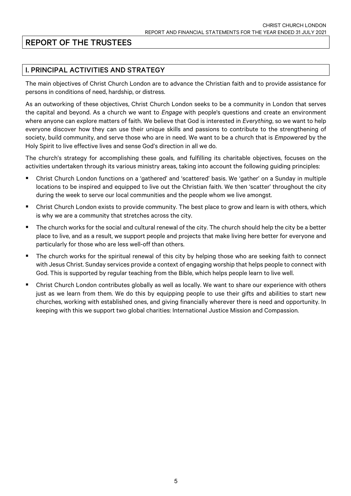# REPORT OF THE TRUSTEES

# I. PRINCIPAL ACTIVITIES AND STRATEGY

The main objectives of Christ Church London are to advance the Christian faith and to provide assistance for persons in conditions of need, hardship, or distress.

As an outworking of these objectives, Christ Church London seeks to be a community in London that serves the capital and beyond. As a church we want to *Engage* with people's questions and create an environment where anyone can explore matters of faith. We believe that God is interested in *Everything*, so we want to help everyone discover how they can use their unique skills and passions to contribute to the strengthening of society, build community, and serve those who are in need. We want to be a church that is *Empowered* by the Holy Spirit to live effective lives and sense God's direction in all we do.

The church's strategy for accomplishing these goals, and fulfilling its charitable objectives, focuses on the activities undertaken through its various ministry areas, taking into account the following guiding principles:

- § Christ Church London functions on a 'gathered' and 'scattered' basis. We 'gather' on a Sunday in multiple locations to be inspired and equipped to live out the Christian faith. We then 'scatter' throughout the city during the week to serve our local communities and the people whom we live amongst.
- Christ Church London exists to provide community. The best place to grow and learn is with others, which is why we are a community that stretches across the city.
- The church works for the social and cultural renewal of the city. The church should help the city be a better place to live, and as a result, we support people and projects that make living here better for everyone and particularly for those who are less well-off than others.
- The church works for the spiritual renewal of this city by helping those who are seeking faith to connect with Jesus Christ. Sunday services provide a context of engaging worship that helps people to connect with God. This is supported by regular teaching from the Bible, which helps people learn to live well.
- Christ Church London contributes globally as well as locally. We want to share our experience with others just as we learn from them. We do this by equipping people to use their gifts and abilities to start new churches, working with established ones, and giving financially wherever there is need and opportunity. In keeping with this we support two global charities: International Justice Mission and Compassion.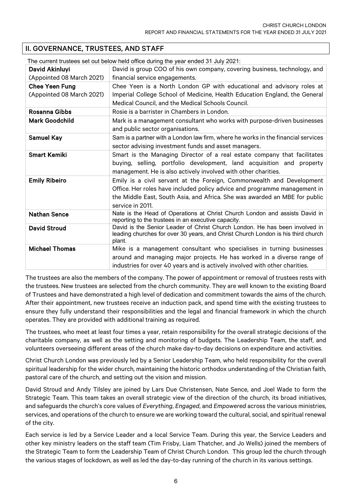# II. GOVERNANCE, TRUSTEES, AND STAFF

|                           | The current trustees set out below held office during the year ended 31 July 2021:                                                 |
|---------------------------|------------------------------------------------------------------------------------------------------------------------------------|
| David Akinluyi            | David is group COO of his own company, covering business, technology, and                                                          |
| (Appointed 08 March 2021) | financial service engagements.                                                                                                     |
| <b>Chee Yeen Fung</b>     | Chee Yeen is a North London GP with educational and advisory roles at                                                              |
| (Appointed 08 March 2021) | Imperial College School of Medicine, Health Education England, the General                                                         |
|                           | Medical Council, and the Medical Schools Council.                                                                                  |
| <b>Rosanna Gibbs</b>      | Rosie is a barrister in Chambers in London.                                                                                        |
| <b>Mark Goodchild</b>     | Mark is a management consultant who works with purpose-driven businesses                                                           |
|                           | and public sector organisations.                                                                                                   |
| <b>Samuel Kay</b>         | Sam is a partner with a London law firm, where he works in the financial services                                                  |
|                           | sector advising investment funds and asset managers.                                                                               |
| <b>Smart Kemiki</b>       | Smart is the Managing Director of a real estate company that facilitates                                                           |
|                           | buying, selling, portfolio development, land acquisition and property                                                              |
|                           | management. He is also actively involved with other charities.                                                                     |
| <b>Emily Ribeiro</b>      | Emily is a civil servant at the Foreign, Commonwealth and Development                                                              |
|                           | Office. Her roles have included policy advice and programme management in                                                          |
|                           | the Middle East, South Asia, and Africa. She was awarded an MBE for public                                                         |
|                           | service in 2011.                                                                                                                   |
| <b>Nathan Sence</b>       | Nate is the Head of Operations at Christ Church London and assists David in<br>reporting to the trustees in an executive capacity. |
| <b>David Stroud</b>       | David is the Senior Leader of Christ Church London. He has been involved in                                                        |
|                           | leading churches for over 30 years, and Christ Church London is his third church<br>plant.                                         |
| <b>Michael Thomas</b>     | Mike is a management consultant who specialises in turning businesses                                                              |
|                           | around and managing major projects. He has worked in a diverse range of                                                            |
|                           | industries for over 40 years and is actively involved with other charities.                                                        |

The trustees are also the members of the company. The power of appointment or removal of trustees rests with the trustees. New trustees are selected from the church community. They are well known to the existing Board of Trustees and have demonstrated a high level of dedication and commitment towards the aims of the church. After their appointment, new trustees receive an induction pack, and spend time with the existing trustees to ensure they fully understand their responsibilities and the legal and financial framework in which the church operates. They are provided with additional training as required.

The trustees, who meet at least four times a year, retain responsibility for the overall strategic decisions of the charitable company, as well as the setting and monitoring of budgets. The Leadership Team, the staff, and volunteers overseeing different areas of the church make day-to-day decisions on expenditure and activities.

Christ Church London was previously led by a Senior Leadership Team, who held responsibility for the overall spiritual leadership for the wider church, maintaining the historic orthodox understanding of the Christian faith, pastoral care of the church, and setting out the vision and mission.

David Stroud and Andy Tilsley are joined by Lars Due Christensen, Nate Sence, and Joel Wade to form the Strategic Team. This team takes an overall strategic view of the direction of the church, its broad initiatives, and safeguards the church's core values of *Everything*, *Engaged*, and *Empowered* across the various ministries, services, and operations of the church to ensure we are working toward the cultural, social, and spiritual renewal of the city.

Each service is led by a Service Leader and a local Service Team. During this year, the Service Leaders and other key ministry leaders on the staff team (Tim Frisby, Liam Thatcher, and Jo Wells) joined the members of the Strategic Team to form the Leadership Team of Christ Church London. This group led the church through the various stages of lockdown, as well as led the day-to-day running of the church in its various settings.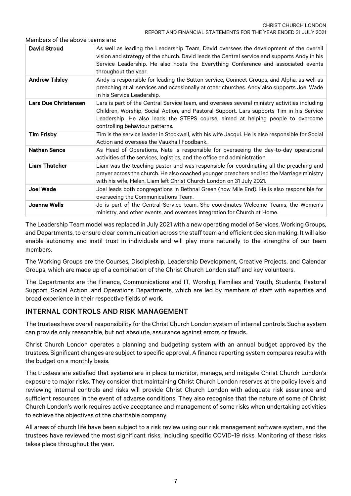Members of the above teams are:

| <b>David Stroud</b>   | As well as leading the Leadership Team, David oversees the development of the overall<br>vision and strategy of the church. David leads the Central service and supports Andy in his<br>Service Leadership. He also hosts the Everything Conference and associated events<br>throughout the year.              |
|-----------------------|----------------------------------------------------------------------------------------------------------------------------------------------------------------------------------------------------------------------------------------------------------------------------------------------------------------|
| <b>Andrew Tilsley</b> | Andy is responsible for leading the Sutton service, Connect Groups, and Alpha, as well as<br>preaching at all services and occasionally at other churches. Andy also supports Joel Wade<br>in his Service Leadership.                                                                                          |
| Lars Due Christensen  | Lars is part of the Central Service team, and oversees several ministry activities including<br>Children, Worship, Social Action, and Pastoral Support. Lars supports Tim in his Service<br>Leadership. He also leads the STEPS course, aimed at helping people to overcome<br>controlling behaviour patterns. |
| <b>Tim Frisby</b>     | Tim is the service leader in Stockwell, with his wife Jacqui. He is also responsible for Social<br>Action and oversees the Vauxhall Foodbank.                                                                                                                                                                  |
| <b>Nathan Sence</b>   | As Head of Operations, Nate is responsible for overseeing the day-to-day operational<br>activities of the services, logistics, and the office and administration.                                                                                                                                              |
| <b>Liam Thatcher</b>  | Liam was the teaching pastor and was responsible for coordinating all the preaching and<br>prayer across the church. He also coached younger preachers and led the Marriage ministry<br>with his wife, Helen. Liam left Christ Church London on 31 July 2021.                                                  |
| <b>Joel Wade</b>      | Joel leads both congregations in Bethnal Green (now Mile End). He is also responsible for<br>overseeing the Communications Team.                                                                                                                                                                               |
| <b>Joanne Wells</b>   | Jo is part of the Central Service team. She coordinates Welcome Teams, the Women's<br>ministry, and other events, and oversees integration for Church at Home.                                                                                                                                                 |

The Leadership Team model was replaced in July 2021 with a new operating model of Services, Working Groups, and Departments, to ensure clear communication across the staff team and efficient decision making. It will also enable autonomy and instil trust in individuals and will play more naturally to the strengths of our team members.

The Working Groups are the Courses, Discipleship, Leadership Development, Creative Projects, and Calendar Groups, which are made up of a combination of the Christ Church London staff and key volunteers.

The Departments are the Finance, Communications and IT, Worship, Families and Youth, Students, Pastoral Support, Social Action, and Operations Departments, which are led by members of staff with expertise and broad experience in their respective fields of work.

# INTERNAL CONTROLS AND RISK MANAGEMENT

The trustees have overall responsibility for the Christ Church London system of internal controls. Such a system can provide only reasonable, but not absolute, assurance against errors or frauds.

Christ Church London operates a planning and budgeting system with an annual budget approved by the trustees. Significant changes are subject to specific approval. A finance reporting system compares results with the budget on a monthly basis.

The trustees are satisfied that systems are in place to monitor, manage, and mitigate Christ Church London's exposure to major risks. They consider that maintaining Christ Church London reserves at the policy levels and reviewing internal controls and risks will provide Christ Church London with adequate risk assurance and sufficient resources in the event of adverse conditions. They also recognise that the nature of some of Christ Church London's work requires active acceptance and management of some risks when undertaking activities to achieve the objectives of the charitable company.

All areas of church life have been subject to a risk review using our risk management software system, and the trustees have reviewed the most significant risks, including specific COVID-19 risks. Monitoring of these risks takes place throughout the year.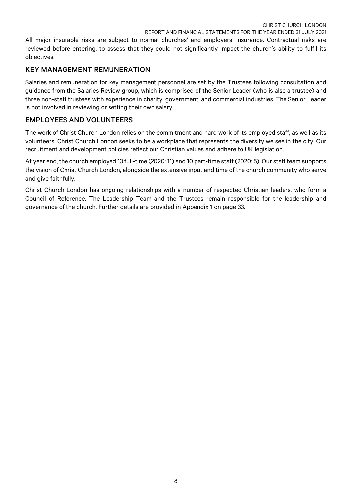All major insurable risks are subject to normal churches' and employers' insurance. Contractual risks are reviewed before entering, to assess that they could not significantly impact the church's ability to fulfil its objectives.

## KEY MANAGEMENT REMUNERATION

Salaries and remuneration for key management personnel are set by the Trustees following consultation and guidance from the Salaries Review group, which is comprised of the Senior Leader (who is also a trustee) and three non-staff trustees with experience in charity, government, and commercial industries. The Senior Leader is not involved in reviewing or setting their own salary.

# EMPLOYEES AND VOLUNTEERS

The work of Christ Church London relies on the commitment and hard work of its employed staff, as well as its volunteers. Christ Church London seeks to be a workplace that represents the diversity we see in the city. Our recruitment and development policies reflect our Christian values and adhere to UK legislation.

At year end, the church employed 13 full-time (2020: 11) and 10 part-time staff (2020: 5). Our staff team supports the vision of Christ Church London, alongside the extensive input and time of the church community who serve and give faithfully.

Christ Church London has ongoing relationships with a number of respected Christian leaders, who form a Council of Reference. The Leadership Team and the Trustees remain responsible for the leadership and governance of the church. Further details are provided in Appendix 1 on page 33.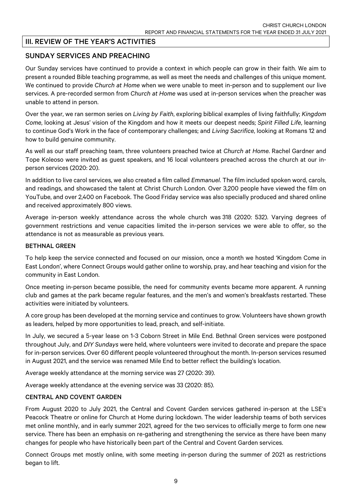# III. REVIEW OF THE YEAR'S ACTIVITIES

## SUNDAY SERVICES AND PREACHING

Our Sunday services have continued to provide a context in which people can grow in their faith. We aim to present a rounded Bible teaching programme, as well as meet the needs and challenges of this unique moment. We continued to provide *Church at Home* when we were unable to meet in-person and to supplement our live services. A pre-recorded sermon from *Church at Home* was used at in-person services when the preacher was unable to attend in person.

Over the year, we ran sermon series on *Living by Faith*, exploring biblical examples of living faithfully; *Kingdom Come*, looking at Jesus' vision of the Kingdom and how it meets our deepest needs; *Spirit Filled Life*, learning to continue God's Work in the face of contemporary challenges; and *Living Sacrifice*, looking at Romans 12 and how to build genuine community.

As well as our staff preaching team, three volunteers preached twice at *Church at Home*. Rachel Gardner and Tope Koleoso were invited as guest speakers, and 16 local volunteers preached across the church at our inperson services (2020: 20).

In addition to live carol services, we also created a film called *Emmanuel*. The film included spoken word, carols, and readings, and showcased the talent at Christ Church London. Over 3,200 people have viewed the film on YouTube, and over 2,400 on Facebook. The Good Friday service was also specially produced and shared online and received approximately 800 views.

Average in-person weekly attendance across the whole church was 318 (2020: 532). Varying degrees of government restrictions and venue capacities limited the in-person services we were able to offer, so the attendance is not as measurable as previous years.

#### BETHNAL GREEN

To help keep the service connected and focused on our mission, once a month we hosted 'Kingdom Come in East London', where Connect Groups would gather online to worship, pray, and hear teaching and vision for the community in East London.

Once meeting in-person became possible, the need for community events became more apparent. A running club and games at the park became regular features, and the men's and women's breakfasts restarted. These activities were initiated by volunteers.

A core group has been developed at the morning service and continues to grow. Volunteers have shown growth as leaders, helped by more opportunities to lead, preach, and self-initiate.

In July, we secured a 5-year lease on 1-3 Coborn Street in Mile End. Bethnal Green services were postponed throughout July, and *DIY Sundays* were held, where volunteers were invited to decorate and prepare the space for in-person services. Over 60 different people volunteered throughout the month. In-person services resumed in August 2021, and the service was renamed Mile End to better reflect the building's location.

Average weekly attendance at the morning service was 27 (2020: 39).

Average weekly attendance at the evening service was 33 (2020: 85).

#### CENTRAL AND COVENT GARDEN

From August 2020 to July 2021, the Central and Covent Garden services gathered in-person at the LSE's Peacock Theatre or online for Church at Home during lockdown. The wider leadership teams of both services met online monthly, and in early summer 2021, agreed for the two services to officially merge to form one new service. There has been an emphasis on re-gathering and strengthening the service as there have been many changes for people who have historically been part of the Central and Covent Garden services.

Connect Groups met mostly online, with some meeting in-person during the summer of 2021 as restrictions began to lift.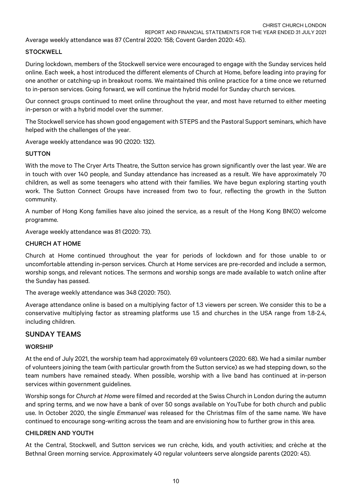Average weekly attendance was 87 (Central 2020: 158; Covent Garden 2020: 45).

### **STOCKWELL**

During lockdown, members of the Stockwell service were encouraged to engage with the Sunday services held online. Each week, a host introduced the different elements of Church at Home, before leading into praying for one another or catching-up in breakout rooms. We maintained this online practice for a time once we returned to in-person services. Going forward, we will continue the hybrid model for Sunday church services.

Our connect groups continued to meet online throughout the year, and most have returned to either meeting in-person or with a hybrid model over the summer.

The Stockwell service has shown good engagement with STEPS and the Pastoral Support seminars, which have helped with the challenges of the year.

Average weekly attendance was 90 (2020: 132).

#### **SUTTON**

With the move to The Cryer Arts Theatre, the Sutton service has grown significantly over the last year. We are in touch with over 140 people, and Sunday attendance has increased as a result. We have approximately 70 children, as well as some teenagers who attend with their families. We have begun exploring starting youth work. The Sutton Connect Groups have increased from two to four, reflecting the growth in the Sutton community.

A number of Hong Kong families have also joined the service, as a result of the Hong Kong BN(O) welcome programme.

Average weekly attendance was 81 (2020: 73).

#### CHURCH AT HOME

Church at Home continued throughout the year for periods of lockdown and for those unable to or uncomfortable attending in-person services. Church at Home services are pre-recorded and include a sermon, worship songs, and relevant notices. The sermons and worship songs are made available to watch online after the Sunday has passed.

The average weekly attendance was 348 (2020: 750).

Average attendance online is based on a multiplying factor of 1.3 viewers per screen. We consider this to be a conservative multiplying factor as streaming platforms use 1.5 and churches in the USA range from 1.8-2.4, including children.

#### SUNDAY TEAMS

#### **WORSHIP**

At the end of July 2021, the worship team had approximately 69 volunteers (2020: 68). We had a similar number of volunteers joining the team (with particular growth from the Sutton service) as we had stepping down, so the team numbers have remained steady. When possible, worship with a live band has continued at in-person services within government guidelines.

Worship songs for *Church at Home* were filmed and recorded at the Swiss Church in London during the autumn and spring terms, and we now have a bank of over 50 songs available on YouTube for both church and public use. In October 2020, the single *Emmanuel* was released for the Christmas film of the same name. We have continued to encourage song-writing across the team and are envisioning how to further grow in this area.

#### CHILDREN AND YOUTH

At the Central, Stockwell, and Sutton services we run crèche, kids, and youth activities; and crèche at the Bethnal Green morning service. Approximately 40 regular volunteers serve alongside parents (2020: 45).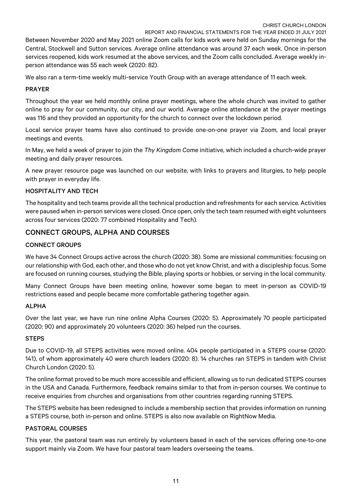Between November 2020 and May 2021 online Zoom calls for kids work were held on Sunday mornings for the Central, Stockwell and Sutton services. Average online attendance was around 37 each week. Once in-person services reopened, kids work resumed at the above services, and the Zoom calls concluded. Average weekly inperson attendance was 55 each week (2020: 82).

We also ran a term-time weekly multi-service Youth Group with an average attendance of 11 each week.

#### PRAYER

Throughout the year we held monthly online prayer meetings, where the whole church was invited to gather online to pray for our community, our city, and our world. Average online attendance at the prayer meetings was 116 and they provided an opportunity for the church to connect over the lockdown period.

Local service prayer teams have also continued to provide one-on-one prayer via Zoom, and local prayer meetings and events.

In May, we held a week of prayer to join the *Thy Kingdom Come* initiative, which included a church-wide prayer meeting and daily prayer resources.

A new prayer resource page was launched on our website, with links to prayers and liturgies, to help people with prayer in everyday life.

#### HOSPITALITY AND TECH

The hospitality and tech teams provide all the technical production and refreshments for each service. Activities were paused when in-person services were closed. Once open, only the tech team resumed with eight volunteers across four services (2020: 77 combined Hospitality and Tech).

## CONNECT GROUPS, ALPHA AND COURSES

#### CONNECT GROUPS

We have 34 Connect Groups active across the church (2020: 38). Some are missional communities: focusing on our relationship with God, each other, and those who do not yet know Christ, and with a discipleship focus. Some are focused on running courses, studying the Bible, playing sports or hobbies, or serving in the local community.

Many Connect Groups have been meeting online, however some began to meet in-person as COVID-19 restrictions eased and people became more comfortable gathering together again.

#### ALPHA

Over the last year, we have run nine online Alpha Courses (2020: 5). Approximately 70 people participated (2020: 90) and approximately 20 volunteers (2020: 36) helped run the courses.

#### **STEPS**

Due to COVID-19, all STEPS activities were moved online. 404 people participated in a STEPS course (2020: 141), of whom approximately 40 were church leaders (2020: 8). 14 churches ran STEPS in tandem with Christ Church London (2020: 5).

The online format proved to be much more accessible and efficient, allowing us to run dedicated STEPS courses in the USA and Canada. Furthermore, feedback remains similar to that from in-person courses. We continue to receive enquiries from churches and organisations from other countries regarding running STEPS.

The STEPS website has been redesigned to include a membership section that provides information on running a STEPS course, both in-person and online. STEPS is also now available on RightNow Media.

#### PASTORAL COURSES

This year, the pastoral team was run entirely by volunteers based in each of the services offering one-to-one support mainly via Zoom. We have four pastoral team leaders overseeing the teams.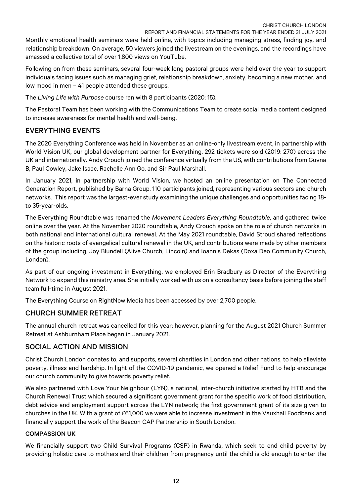Monthly emotional health seminars were held online, with topics including managing stress, finding joy, and relationship breakdown. On average, 50 viewers joined the livestream on the evenings, and the recordings have amassed a collective total of over 1,800 views on YouTube.

Following on from these seminars, several four-week long pastoral groups were held over the year to support individuals facing issues such as managing grief, relationship breakdown, anxiety, becoming a new mother, and low mood in men – 41 people attended these groups.

The *Living Life with Purpose* course ran with 8 participants (2020: 15).

The Pastoral Team has been working with the Communications Team to create social media content designed to increase awareness for mental health and well-being.

# EVERYTHING EVENTS

The 2020 Everything Conference was held in November as an online-only livestream event, in partnership with World Vision UK, our global development partner for Everything. 292 tickets were sold (2019: 270) across the UK and internationally. Andy Crouch joined the conference virtually from the US, with contributions from Guvna B, Paul Cowley, Jake Isaac, Rachelle Ann Go, and Sir Paul Marshall.

In January 2021, in partnership with World Vision, we hosted an online presentation on The Connected Generation Report, published by Barna Group. 110 participants joined, representing various sectors and church networks. This report was the largest-ever study examining the unique challenges and opportunities facing 18 to 35-year-olds.

The Everything Roundtable was renamed the *Movement Leaders Everything Roundtable*, and gathered twice online over the year. At the November 2020 roundtable, Andy Crouch spoke on the role of church networks in both national and international cultural renewal. At the May 2021 roundtable, David Stroud shared reflections on the historic roots of evangelical cultural renewal in the UK, and contributions were made by other members of the group including, Joy Blundell (Alive Church, Lincoln) and Ioannis Dekas (Doxa Deo Community Church, London).

As part of our ongoing investment in Everything, we employed Erin Bradbury as Director of the Everything Network to expand this ministry area. She initially worked with us on a consultancy basis before joining the staff team full-time in August 2021.

The Everything Course on RightNow Media has been accessed by over 2,700 people.

# CHURCH SUMMER RETREAT

The annual church retreat was cancelled for this year; however, planning for the August 2021 Church Summer Retreat at Ashburnham Place began in January 2021.

# SOCIAL ACTION AND MISSION

Christ Church London donates to, and supports, several charities in London and other nations, to help alleviate poverty, illness and hardship. In light of the COVID-19 pandemic, we opened a Relief Fund to help encourage our church community to give towards poverty relief.

We also partnered with Love Your Neighbour (LYN), a national, inter-church initiative started by HTB and the Church Renewal Trust which secured a significant government grant for the specific work of food distribution, debt advice and employment support across the LYN network; the first government grant of its size given to churches in the UK. With a grant of £61,000 we were able to increase investment in the Vauxhall Foodbank and financially support the work of the Beacon CAP Partnership in South London.

## COMPASSION UK

We financially support two Child Survival Programs (CSP) in Rwanda, which seek to end child poverty by providing holistic care to mothers and their children from pregnancy until the child is old enough to enter the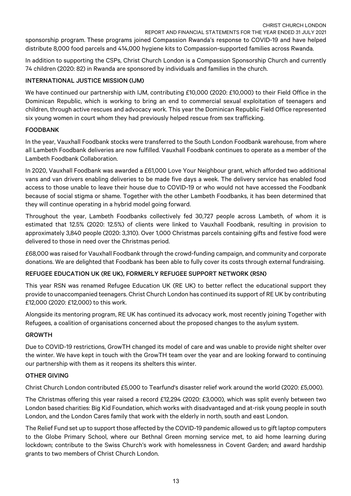sponsorship program. These programs joined Compassion Rwanda's response to COVID-19 and have helped distribute 8,000 food parcels and 414,000 hygiene kits to Compassion-supported families across Rwanda.

In addition to supporting the CSPs, Christ Church London is a Compassion Sponsorship Church and currently 74 children (2020: 82) in Rwanda are sponsored by individuals and families in the church.

#### INTERNATIONAL JUSTICE MISSION (IJM)

We have continued our partnership with IJM, contributing £10,000 (2020: £10,000) to their Field Office in the Dominican Republic, which is working to bring an end to commercial sexual exploitation of teenagers and children, through active rescues and advocacy work. This year the Dominican Republic Field Office represented six young women in court whom they had previously helped rescue from sex trafficking.

### FOODBANK

In the year, Vauxhall Foodbank stocks were transferred to the South London Foodbank warehouse, from where all Lambeth Foodbank deliveries are now fulfilled. Vauxhall Foodbank continues to operate as a member of the Lambeth Foodbank Collaboration.

In 2020, Vauxhall Foodbank was awarded a £61,000 Love Your Neighbour grant, which afforded two additional vans and van drivers enabling deliveries to be made five days a week. The delivery service has enabled food access to those unable to leave their house due to COVID-19 or who would not have accessed the Foodbank because of social stigma or shame. Together with the other Lambeth Foodbanks, it has been determined that they will continue operating in a hybrid model going forward.

Throughout the year, Lambeth Foodbanks collectively fed 30,727 people across Lambeth, of whom it is estimated that 12.5% (2020: 12.5%) of clients were linked to Vauxhall Foodbank, resulting in provision to approximately 3,840 people (2020: 3,310). Over 1,000 Christmas parcels containing gifts and festive food were delivered to those in need over the Christmas period.

£68,000 was raised for Vauxhall Foodbank through the crowd-funding campaign, and community and corporate donations. We are delighted that Foodbank has been able to fully cover its costs through external fundraising.

## REFUGEE EDUCATION UK (RE UK), FORMERLY REFUGEE SUPPORT NETWORK (RSN)

This year RSN was renamed Refugee Education UK (RE UK) to better reflect the educational support they provide to unaccompanied teenagers. Christ Church London has continued its support of RE UK by contributing £12,000 (2020: £12,000) to this work.

Alongside its mentoring program, RE UK has continued its advocacy work, most recently joining Together with Refugees, a coalition of organisations concerned about the proposed changes to the asylum system.

#### GROWTH

Due to COVID-19 restrictions, GrowTH changed its model of care and was unable to provide night shelter over the winter. We have kept in touch with the GrowTH team over the year and are looking forward to continuing our partnership with them as it reopens its shelters this winter.

#### OTHER GIVING

Christ Church London contributed £5,000 to Tearfund's disaster relief work around the world (2020: £5,000).

The Christmas offering this year raised a record £12,294 (2020: £3,000), which was split evenly between two London based charities: Big Kid Foundation, which works with disadvantaged and at-risk young people in south London, and the London Cares family that work with the elderly in north, south and east London.

The Relief Fund set up to support those affected by the COVID-19 pandemic allowed us to gift laptop computers to the Globe Primary School, where our Bethnal Green morning service met, to aid home learning during lockdown; contribute to the Swiss Church's work with homelessness in Covent Garden; and award hardship grants to two members of Christ Church London.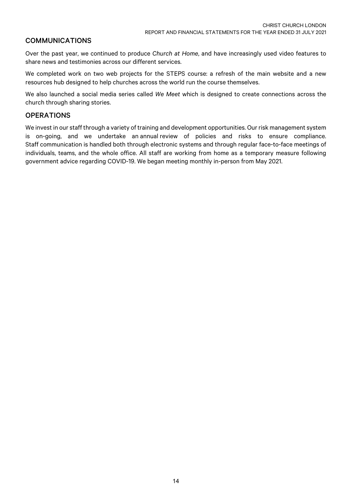## COMMUNICATIONS

Over the past year, we continued to produce *Church at Home*, and have increasingly used video features to share news and testimonies across our different services.

We completed work on two web projects for the STEPS course: a refresh of the main website and a new resources hub designed to help churches across the world run the course themselves.

We also launched a social media series called *We Meet* which is designed to create connections across the church through sharing stories.

### **OPERATIONS**

We invest in our staff through a variety of training and development opportunities. Our risk management system is on-going, and we undertake an annual review of policies and risks to ensure compliance. Staff communication is handled both through electronic systems and through regular face-to-face meetings of individuals, teams, and the whole office. All staff are working from home as a temporary measure following government advice regarding COVID-19. We began meeting monthly in-person from May 2021.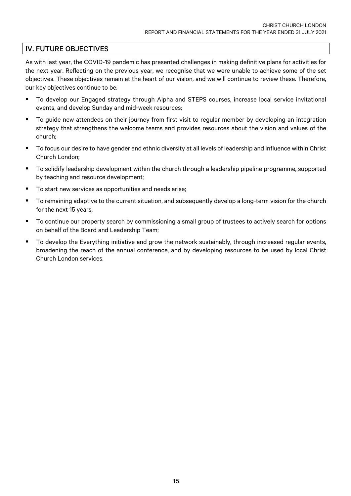## IV. FUTURE OBJECTIVES

As with last year, the COVID-19 pandemic has presented challenges in making definitive plans for activities for the next year. Reflecting on the previous year, we recognise that we were unable to achieve some of the set objectives. These objectives remain at the heart of our vision, and we will continue to review these. Therefore, our key objectives continue to be:

- To develop our Engaged strategy through Alpha and STEPS courses, increase local service invitational events, and develop Sunday and mid-week resources;
- To quide new attendees on their journey from first visit to regular member by developing an integration strategy that strengthens the welcome teams and provides resources about the vision and values of the church;
- To focus our desire to have gender and ethnic diversity at all levels of leadership and influence within Christ Church London;
- To solidify leadership development within the church through a leadership pipeline programme, supported by teaching and resource development;
- To start new services as opportunities and needs arise;
- To remaining adaptive to the current situation, and subsequently develop a long-term vision for the church for the next 15 years;
- To continue our property search by commissioning a small group of trustees to actively search for options on behalf of the Board and Leadership Team;
- To develop the Everything initiative and grow the network sustainably, through increased regular events, broadening the reach of the annual conference, and by developing resources to be used by local Christ Church London services.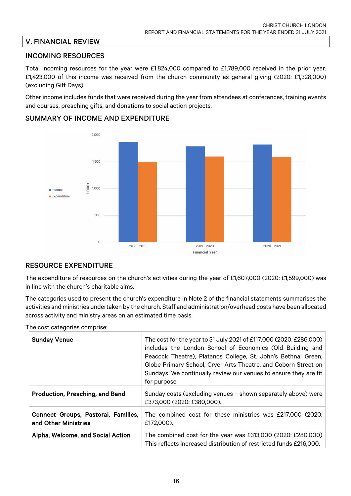# V. FINANCIAL REVIEW

## INCOMING RESOURCES

Total incoming resources for the year were £1,824,000 compared to £1,789,000 received in the prior year. £1,423,000 of this income was received from the church community as general giving (2020: £1,328,000) (excluding Gift Days).

Other income includes funds that were received during the year from attendees at conferences, training events and courses, preaching gifts, and donations to social action projects.



## SUMMARY OF INCOME AND EXPENDITURE

## RESOURCE EXPENDITURE

The expenditure of resources on the church's activities during the year of £1,607,000 (2020: £1,599,000) was in line with the church's charitable aims.

The categories used to present the church's expenditure in Note 2 of the financial statements summarises the activities and ministries undertaken by the church. Staff and administration/overhead costs have been allocated across activity and ministry areas on an estimated time basis.

The cost categories comprise:

| <b>Sunday Venue</b>                                         | The cost for the year to 31 July 2021 of £117,000 (2020: £286,000)<br>includes the London School of Economics (Old Building and<br>Peacock Theatre), Platanos College, St. John's Bethnal Green,<br>Globe Primary School, Cryer Arts Theatre, and Coborn Street on<br>Sundays. We continually review our venues to ensure they are fit<br>for purpose. |
|-------------------------------------------------------------|--------------------------------------------------------------------------------------------------------------------------------------------------------------------------------------------------------------------------------------------------------------------------------------------------------------------------------------------------------|
| Production, Preaching, and Band                             | Sunday costs (excluding venues - shown separately above) were<br>£373,000 (2020: £380,000).                                                                                                                                                                                                                                                            |
| Connect Groups, Pastoral, Families,<br>and Other Ministries | The combined cost for these ministries was £217,000 (2020:<br>£172,000).                                                                                                                                                                                                                                                                               |
| Alpha, Welcome, and Social Action                           | The combined cost for the year was £313,000 (2020: £280,000)<br>This reflects increased distribution of restricted funds £216,000.                                                                                                                                                                                                                     |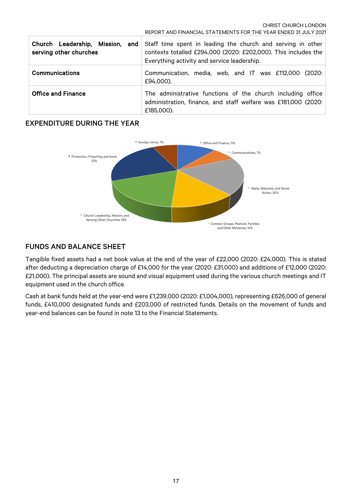CHRIST CHURCH LONDON

|                                                           | REPORT AND FINANCIAL STATEMENTS FOR THE YEAR ENDED 31 JULY 2021                                                                                                              |
|-----------------------------------------------------------|------------------------------------------------------------------------------------------------------------------------------------------------------------------------------|
| Church Leadership, Mission, and<br>serving other churches | Staff time spent in leading the church and serving in other<br>contexts totalled £294,000 (2020: £202,000). This includes the<br>Everything activity and service leadership. |
| <b>Communications</b>                                     | Communication, media, web, and IT was £112,000 (2020:<br>£94,000).                                                                                                           |
| <b>Office and Finance</b>                                 | The administrative functions of the church including office<br>administration, finance, and staff welfare was £181,000 (2020:<br>£185,000).                                  |

# EXPENDITURE DURING THE YEAR



# FUNDS AND BALANCE SHEET

Tangible fixed assets had a net book value at the end of the year of £22,000 (2020: £24,000). This is stated after deducting a depreciation charge of £14,000 for the year (2020: £31,000) and additions of £12,000 (2020: £21,000). The principal assets are sound and visual equipment used during the various church meetings and IT equipment used in the church office.

Cash at bank funds held at the year-end were £1,239,000 (2020: £1,004,000), representing £626,000 of general funds, £410,000 designated funds and £203,000 of restricted funds. Details on the movement of funds and year-end balances can be found in note 13 to the Financial Statements.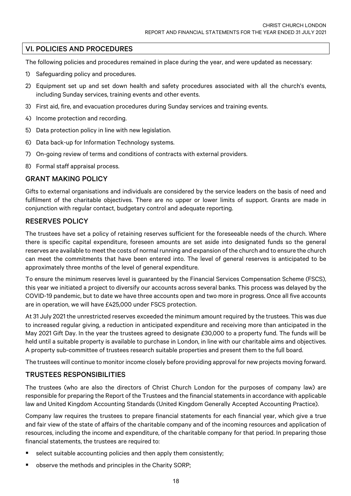## VI. POLICIES AND PROCEDURES

The following policies and procedures remained in place during the year, and were updated as necessary:

- 1) Safeguarding policy and procedures.
- 2) Equipment set up and set down health and safety procedures associated with all the church's events, including Sunday services, training events and other events.
- 3) First aid, fire, and evacuation procedures during Sunday services and training events.
- 4) Income protection and recording.
- 5) Data protection policy in line with new legislation.
- 6) Data back-up for Information Technology systems.
- 7) On-going review of terms and conditions of contracts with external providers.
- 8) Formal staff appraisal process.

### GRANT MAKING POLICY

Gifts to external organisations and individuals are considered by the service leaders on the basis of need and fulfilment of the charitable objectives. There are no upper or lower limits of support. Grants are made in conjunction with regular contact, budgetary control and adequate reporting.

### RESERVES POLICY

The trustees have set a policy of retaining reserves sufficient for the foreseeable needs of the church. Where there is specific capital expenditure, foreseen amounts are set aside into designated funds so the general reserves are available to meet the costs of normal running and expansion of the church and to ensure the church can meet the commitments that have been entered into. The level of general reserves is anticipated to be approximately three months of the level of general expenditure.

To ensure the minimum reserves level is guaranteed by the Financial Services Compensation Scheme (FSCS), this year we initiated a project to diversify our accounts across several banks. This process was delayed by the COVID-19 pandemic, but to date we have three accounts open and two more in progress. Once all five accounts are in operation, we will have £425,000 under FSCS protection.

At 31 July 2021 the unrestricted reserves exceeded the minimum amount required by the trustees. This was due to increased regular giving, a reduction in anticipated expenditure and receiving more than anticipated in the May 2021 Gift Day. In the year the trustees agreed to designate £30,000 to a property fund. The funds will be held until a suitable property is available to purchase in London, in line with our charitable aims and objectives. A property sub-committee of trustees research suitable properties and present them to the full board.

The trustees will continue to monitor income closely before providing approval for new projects moving forward.

## TRUSTEES RESPONSIBILITIES

The trustees (who are also the directors of Christ Church London for the purposes of company law) are responsible for preparing the Report of the Trustees and the financial statements in accordance with applicable law and United Kingdom Accounting Standards (United Kingdom Generally Accepted Accounting Practice).

Company law requires the trustees to prepare financial statements for each financial year, which give a true and fair view of the state of affairs of the charitable company and of the incoming resources and application of resources, including the income and expenditure, of the charitable company for that period. In preparing those financial statements, the trustees are required to:

- select suitable accounting policies and then apply them consistently;
- § observe the methods and principles in the Charity SORP;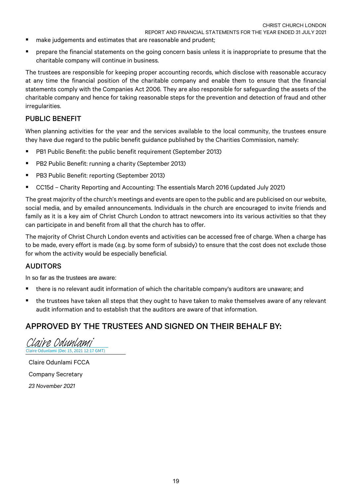- make judgements and estimates that are reasonable and prudent;
- prepare the financial statements on the going concern basis unless it is inappropriate to presume that the charitable company will continue in business.

The trustees are responsible for keeping proper accounting records, which disclose with reasonable accuracy at any time the financial position of the charitable company and enable them to ensure that the financial statements comply with the Companies Act 2006. They are also responsible for safeguarding the assets of the charitable company and hence for taking reasonable steps for the prevention and detection of fraud and other irregularities.

### PUBLIC BENEFIT

When planning activities for the year and the services available to the local community, the trustees ensure they have due regard to the public benefit guidance published by the Charities Commission, namely:

- § PB1 Public Benefit: the public benefit requirement (September 2013)
- PB2 Public Benefit: running a charity (September 2013)
- PB3 Public Benefit: reporting (September 2013)
- CC15d Charity Reporting and Accounting: The essentials March 2016 (updated July 2021)

The great majority of the church's meetings and events are open to the public and are publicised on our website, social media, and by emailed announcements. Individuals in the church are encouraged to invite friends and family as it is a key aim of Christ Church London to attract newcomers into its various activities so that they can participate in and benefit from all that the church has to offer.

The majority of Christ Church London events and activities can be accessed free of charge. When a charge has to be made, every effort is made (e.g. by some form of subsidy) to ensure that the cost does not exclude those for whom the activity would be especially beneficial.

## AUDITORS

In so far as the trustees are aware:

- there is no relevant audit information of which the charitable company's auditors are unaware; and
- the trustees have taken all steps that they ought to have taken to make themselves aware of any relevant audit information and to establish that the auditors are aware of that information.

# APPROVED BY THE TRUSTEES AND SIGNED ON THEIR BEHALF BY:

Claire Odunlami (Dec 15, 2021 12:17 GMT) [Claire Odunlami](https://na1.documents.adobe.com/verifier?tx=CBJCHBCAABAABNH33NWKWLQbgTN_QiLiruSoqxo3JygW)

Claire Odunlami FCCA Company Secretary *23 November 2021*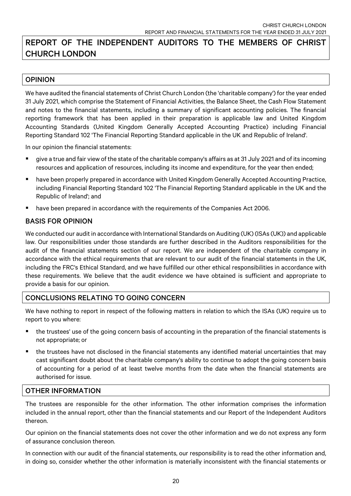# REPORT OF THE INDEPENDENT AUDITORS TO THE MEMBERS OF CHRIST CHURCH LONDON

## OPINION

We have audited the financial statements of Christ Church London (the 'charitable company') for the year ended 31 July 2021, which comprise the Statement of Financial Activities, the Balance Sheet, the Cash Flow Statement and notes to the financial statements, including a summary of significant accounting policies. The financial reporting framework that has been applied in their preparation is applicable law and United Kingdom Accounting Standards (United Kingdom Generally Accepted Accounting Practice) including Financial Reporting Standard 102 'The Financial Reporting Standard applicable in the UK and Republic of Ireland'.

In our opinion the financial statements:

- § give a true and fair view of the state of the charitable company's affairs as at 31 July 2021 and of its incoming resources and application of resources, including its income and expenditure, for the year then ended;
- have been properly prepared in accordance with United Kingdom Generally Accepted Accounting Practice, including Financial Reporting Standard 102 'The Financial Reporting Standard applicable in the UK and the Republic of Ireland'; and
- § have been prepared in accordance with the requirements of the Companies Act 2006.

## BASIS FOR OPINION

We conducted our audit in accordance with International Standards on Auditing (UK) (ISAs (UK)) and applicable law. Our responsibilities under those standards are further described in the Auditors responsibilities for the audit of the financial statements section of our report. We are independent of the charitable company in accordance with the ethical requirements that are relevant to our audit of the financial statements in the UK, including the FRC's Ethical Standard, and we have fulfilled our other ethical responsibilities in accordance with these requirements. We believe that the audit evidence we have obtained is sufficient and appropriate to provide a basis for our opinion.

## CONCLUSIONS RELATING TO GOING CONCERN

We have nothing to report in respect of the following matters in relation to which the ISAs (UK) require us to report to you where:

- the trustees' use of the going concern basis of accounting in the preparation of the financial statements is not appropriate; or
- the trustees have not disclosed in the financial statements any identified material uncertainties that may cast significant doubt about the charitable company's ability to continue to adopt the going concern basis of accounting for a period of at least twelve months from the date when the financial statements are authorised for issue.

## OTHER INFORMATION

The trustees are responsible for the other information. The other information comprises the information included in the annual report, other than the financial statements and our Report of the Independent Auditors thereon.

Our opinion on the financial statements does not cover the other information and we do not express any form of assurance conclusion thereon.

In connection with our audit of the financial statements, our responsibility is to read the other information and, in doing so, consider whether the other information is materially inconsistent with the financial statements or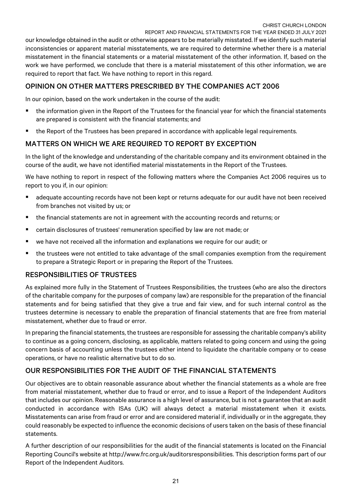our knowledge obtained in the audit or otherwise appears to be materially misstated. If we identify such material inconsistencies or apparent material misstatements, we are required to determine whether there is a material misstatement in the financial statements or a material misstatement of the other information. If, based on the work we have performed, we conclude that there is a material misstatement of this other information, we are required to report that fact. We have nothing to report in this regard.

# OPINION ON OTHER MATTERS PRESCRIBED BY THE COMPANIES ACT 2006

In our opinion, based on the work undertaken in the course of the audit:

- the information given in the Report of the Trustees for the financial year for which the financial statements are prepared is consistent with the financial statements; and
- the Report of the Trustees has been prepared in accordance with applicable legal requirements.

# MATTERS ON WHICH WE ARE REQUIRED TO REPORT BY EXCEPTION

In the light of the knowledge and understanding of the charitable company and its environment obtained in the course of the audit, we have not identified material misstatements in the Report of the Trustees.

We have nothing to report in respect of the following matters where the Companies Act 2006 requires us to report to you if, in our opinion:

- adequate accounting records have not been kept or returns adequate for our audit have not been received from branches not visited by us; or
- § the financial statements are not in agreement with the accounting records and returns; or
- certain disclosures of trustees' remuneration specified by law are not made; or
- we have not received all the information and explanations we require for our audit; or
- the trustees were not entitled to take advantage of the small companies exemption from the requirement to prepare a Strategic Report or in preparing the Report of the Trustees.

# RESPONSIBILITIES OF TRUSTEES

As explained more fully in the Statement of Trustees Responsibilities, the trustees (who are also the directors of the charitable company for the purposes of company law) are responsible for the preparation of the financial statements and for being satisfied that they give a true and fair view, and for such internal control as the trustees determine is necessary to enable the preparation of financial statements that are free from material misstatement, whether due to fraud or error.

In preparing the financial statements, the trustees are responsible for assessing the charitable company's ability to continue as a going concern, disclosing, as applicable, matters related to going concern and using the going concern basis of accounting unless the trustees either intend to liquidate the charitable company or to cease operations, or have no realistic alternative but to do so.

# OUR RESPONSIBILITIES FOR THE AUDIT OF THE FINANCIAL STATEMENTS

Our objectives are to obtain reasonable assurance about whether the financial statements as a whole are free from material misstatement, whether due to fraud or error, and to issue a Report of the Independent Auditors that includes our opinion. Reasonable assurance is a high level of assurance, but is not a guarantee that an audit conducted in accordance with ISAs (UK) will always detect a material misstatement when it exists. Misstatements can arise from fraud or error and are considered material if, individually or in the aggregate, they could reasonably be expected to influence the economic decisions of users taken on the basis of these financial statements.

A further description of our responsibilities for the audit of the financial statements is located on the Financial Reporting Council's website at http://www.frc.org.uk/auditorsresponsibilities. This description forms part of our Report of the Independent Auditors.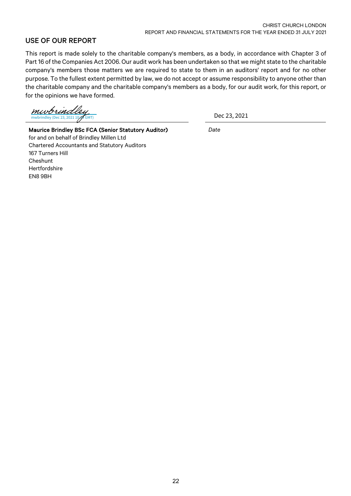## USE OF OUR REPORT

This report is made solely to the charitable company's members, as a body, in accordance with Chapter 3 of Part 16 of the Companies Act 2006. Our audit work has been undertaken so that we might state to the charitable company's members those matters we are required to state to them in an auditors' report and for no other purpose. To the fullest extent permitted by law, we do not accept or assume responsibility to anyone other than the charitable company and the charitable company's members as a body, for our audit work, for this report, or for the opinions we have formed.

mwbrind

Dec 23, 2021

Maurice Brindley BSc FCA (Senior Statutory Auditor) *Date* for and on behalf of Brindley Millen Ltd Chartered Accountants and Statutory Auditors 167 Turners Hill Cheshunt Hertfordshire EN8 9BH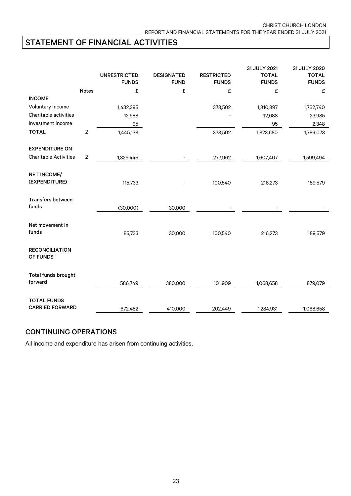# STATEMENT OF FINANCIAL ACTIVITIES

|                                                       |                | <b>UNRESTRICTED</b> | <b>DESIGNATED</b> | <b>RESTRICTED</b> | 31 JULY 2021<br><b>TOTAL</b> | 31 JULY 2020<br><b>TOTAL</b> |
|-------------------------------------------------------|----------------|---------------------|-------------------|-------------------|------------------------------|------------------------------|
|                                                       |                | <b>FUNDS</b>        | <b>FUND</b>       | <b>FUNDS</b>      | <b>FUNDS</b>                 | <b>FUNDS</b>                 |
|                                                       | <b>Notes</b>   | £                   | £                 | £                 | £                            | £                            |
| <b>INCOME</b>                                         |                |                     |                   |                   |                              |                              |
| Voluntary Income                                      |                | 1,432,395           |                   | 378,502           | 1,810,897                    | 1,762,740                    |
| Charitable activities                                 |                | 12,688              |                   |                   | 12,688                       | 23,985                       |
| Investment Income                                     |                | 95                  |                   |                   | 95                           | 2,348                        |
| <b>TOTAL</b>                                          | $\overline{c}$ | 1,445,178           |                   | 378,502           | 1,823,680                    | 1,789,073                    |
| <b>EXPENDITURE ON</b><br><b>Charitable Activities</b> | $\overline{2}$ |                     |                   |                   |                              |                              |
|                                                       |                | 1,329,445           |                   | 277,962           | 1,607,407                    | 1,599,494                    |
| <b>NET INCOME/</b><br>(EXPENDITURE)                   |                | 115,733             |                   | 100,540           | 216,273                      | 189,579                      |
| <b>Transfers between</b><br>funds                     |                | (30,000)            | 30,000            |                   |                              |                              |
| Net movement in<br>funds                              |                | 85,733              | 30,000            | 100,540           | 216,273                      | 189,579                      |
| <b>RECONCILIATION</b><br>OF FUNDS                     |                |                     |                   |                   |                              |                              |
| Total funds brought<br>forward                        |                | 586,749             | 380,000           | 101,909           | 1,068,658                    | 879,079                      |
| <b>TOTAL FUNDS</b><br><b>CARRIED FORWARD</b>          |                | 672,482             | 410,000           | 202,449           | 1,284,931                    | 1,068,658                    |

## CONTINUING OPERATIONS

All income and expenditure has arisen from continuing activities.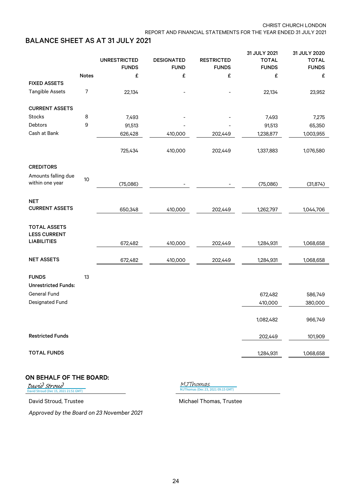# BALANCE SHEET AS AT 31 JULY 2021

|                                            |                  |                     |                   |                   | 31 JULY 2021 | 31 JULY 2020       |
|--------------------------------------------|------------------|---------------------|-------------------|-------------------|--------------|--------------------|
|                                            |                  | <b>UNRESTRICTED</b> | <b>DESIGNATED</b> | <b>RESTRICTED</b> | <b>TOTAL</b> | <b>TOTAL</b>       |
|                                            |                  | <b>FUNDS</b>        | <b>FUND</b>       | <b>FUNDS</b>      | <b>FUNDS</b> | <b>FUNDS</b>       |
|                                            | <b>Notes</b>     | £                   | £                 | £                 | £            | £                  |
| <b>FIXED ASSETS</b>                        |                  |                     |                   |                   |              |                    |
| <b>Tangible Assets</b>                     | $\boldsymbol{7}$ | 22,134              |                   |                   | 22,134       | 23,952             |
| <b>CURRENT ASSETS</b>                      |                  |                     |                   |                   |              |                    |
| Stocks                                     | 8                | 7,493               |                   |                   | 7,493        | 7,275              |
| Debtors                                    | $\boldsymbol{9}$ | 91,513              |                   |                   | 91,513       | 65,350             |
| Cash at Bank                               |                  | 626,428             | 410,000           | 202,449           | 1,238,877    | 1,003,955          |
|                                            |                  | 725,434             | 410,000           | 202,449           | 1,337,883    | 1,076,580          |
| <b>CREDITORS</b>                           |                  |                     |                   |                   |              |                    |
| Amounts falling due<br>within one year     | 10               | (75,086)            |                   |                   | (75,086)     | (31, 874)          |
|                                            |                  |                     |                   |                   |              |                    |
| <b>NET</b><br><b>CURRENT ASSETS</b>        |                  | 650,348             | 410,000           | 202,449           | 1,262,797    | 1,044,706          |
|                                            |                  |                     |                   |                   |              |                    |
| <b>TOTAL ASSETS</b><br><b>LESS CURRENT</b> |                  |                     |                   |                   |              |                    |
| <b>LIABILITIES</b>                         |                  | 672,482             | 410,000           | 202,449           | 1,284,931    | 1,068,658          |
| <b>NET ASSETS</b>                          |                  | 672,482             | 410,000           | 202,449           |              |                    |
|                                            |                  |                     |                   |                   | 1,284,931    | 1,068,658          |
| <b>FUNDS</b><br><b>Unrestricted Funds:</b> | 13               |                     |                   |                   |              |                    |
| <b>General Fund</b>                        |                  |                     |                   |                   | 672,482      |                    |
| <b>Designated Fund</b>                     |                  |                     |                   |                   |              | 586,749<br>380,000 |
|                                            |                  |                     |                   |                   | 410,000      |                    |
|                                            |                  |                     |                   |                   | 1,082,482    | 966,749            |
| <b>Restricted Funds</b>                    |                  |                     |                   |                   | 202,449      | 101,909            |
| <b>TOTAL FUNDS</b>                         |                  |                     |                   |                   | 1,284,931    | 1,068,658          |

## ON BEHALF OF THE BOARD:

021 21:51 GMT) [David Stroud](https://na1.documents.adobe.com/verifier?tx=CBJCHBCAABAABNH33NWKWLQbgTN_QiLiruSoqxo3JygW)

[MJThomas \(Dec 23, 2021 09:15 GMT\)](https://na1.documents.adobe.com/verifier?tx=CBJCHBCAABAABNH33NWKWLQbgTN_QiLiruSoqxo3JygW) MJThomas

David Stroud, Trustee Michael Thomas, Trustee

*Approved by the Board on 23 November 2021*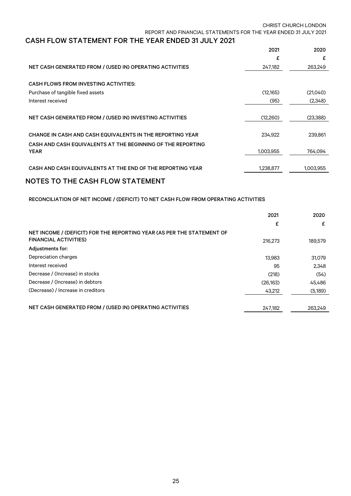# CASH FLOW STATEMENT FOR THE YEAR ENDED 31 JULY 2021

|                                                             | 2021      | 2020      |
|-------------------------------------------------------------|-----------|-----------|
|                                                             | £         | £         |
| NET CASH GENERATED FROM / (USED IN) OPERATING ACTIVITIES    | 247,182   | 263,249   |
| <b>CASH FLOWS FROM INVESTING ACTIVITIES:</b>                |           |           |
| Purchase of tangible fixed assets                           | (12,165)  | (21,040)  |
| Interest received                                           | (95)      | (2,348)   |
|                                                             |           |           |
| NET CASH GENERATED FROM / (USED IN) INVESTING ACTIVITIES    | (12,260)  | (23,388)  |
|                                                             |           |           |
| CHANGE IN CASH AND CASH EQUIVALENTS IN THE REPORTING YEAR   | 234,922   | 239,861   |
| CASH AND CASH EQUIVALENTS AT THE BEGINNING OF THE REPORTING |           |           |
| <b>YEAR</b>                                                 | 1,003,955 | 764.094   |
|                                                             |           |           |
| CASH AND CASH EQUIVALENTS AT THE END OF THE REPORTING YEAR  | 1,238,877 | 1,003,955 |
|                                                             |           |           |

## NOTES TO THE CASH FLOW STATEMENT

RECONCILIATION OF NET INCOME / (DEFICIT) TO NET CASH FLOW FROM OPERATING ACTIVITIES

|                                                                                                        | 2021     | 2020    |
|--------------------------------------------------------------------------------------------------------|----------|---------|
|                                                                                                        | £        | £       |
| NET INCOME / (DEFICIT) FOR THE REPORTING YEAR (AS PER THE STATEMENT OF<br><b>FINANCIAL ACTIVITIES)</b> |          |         |
|                                                                                                        | 216.273  | 189,579 |
| Adjustments for:                                                                                       |          |         |
| Depreciation charges                                                                                   | 13.983   | 31,079  |
| Interest received                                                                                      | 95       | 2.348   |
| Decrease / (Increase) in stocks                                                                        | (218)    | (54)    |
| Decrease / (Increase) in debtors                                                                       | (26.163) | 45.486  |
| (Decrease) / Increase in creditors                                                                     | 43.212   | (5,189) |
|                                                                                                        |          |         |
| NET CASH GENERATED FROM / (USED IN) OPERATING ACTIVITIES                                               | 247,182  | 263,249 |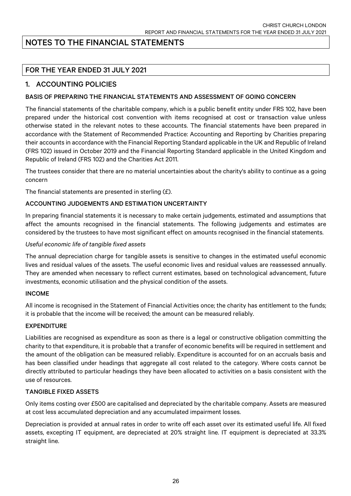# NOTES TO THE FINANCIAL STATEMENTS

# FOR THE YEAR ENDED 31 JULY 2021

## 1. ACCOUNTING POLICIES

### BASIS OF PREPARING THE FINANCIAL STATEMENTS AND ASSESSMENT OF GOING CONCERN

The financial statements of the charitable company, which is a public benefit entity under FRS 102, have been prepared under the historical cost convention with items recognised at cost or transaction value unless otherwise stated in the relevant notes to these accounts. The financial statements have been prepared in accordance with the Statement of Recommended Practice: Accounting and Reporting by Charities preparing their accounts in accordance with the Financial Reporting Standard applicable in the UK and Republic of Ireland (FRS 102) issued in October 2019 and the Financial Reporting Standard applicable in the United Kingdom and Republic of Ireland (FRS 102) and the Charities Act 2011.

The trustees consider that there are no material uncertainties about the charity's ability to continue as a going concern

The financial statements are presented in sterling (£).

#### ACCOUNTING JUDGEMENTS AND ESTIMATION UNCERTAINTY

In preparing financial statements it is necessary to make certain judgements, estimated and assumptions that affect the amounts recognised in the financial statements. The following judgements and estimates are considered by the trustees to have most significant effect on amounts recognised in the financial statements.

#### *Useful economic life of tangible fixed assets*

The annual depreciation charge for tangible assets is sensitive to changes in the estimated useful economic lives and residual values of the assets. The useful economic lives and residual values are reassessed annually. They are amended when necessary to reflect current estimates, based on technological advancement, future investments, economic utilisation and the physical condition of the assets.

#### INCOME

All income is recognised in the Statement of Financial Activities once; the charity has entitlement to the funds; it is probable that the income will be received; the amount can be measured reliably.

#### EXPENDITURE

Liabilities are recognised as expenditure as soon as there is a legal or constructive obligation committing the charity to that expenditure, it is probable that a transfer of economic benefits will be required in settlement and the amount of the obligation can be measured reliably. Expenditure is accounted for on an accruals basis and has been classified under headings that aggregate all cost related to the category. Where costs cannot be directly attributed to particular headings they have been allocated to activities on a basis consistent with the use of resources.

#### TANGIBLE FIXED ASSETS

Only items costing over £500 are capitalised and depreciated by the charitable company. Assets are measured at cost less accumulated depreciation and any accumulated impairment losses.

Depreciation is provided at annual rates in order to write off each asset over its estimated useful life. All fixed assets, excepting IT equipment, are depreciated at 20% straight line. IT equipment is depreciated at 33.3% straight line.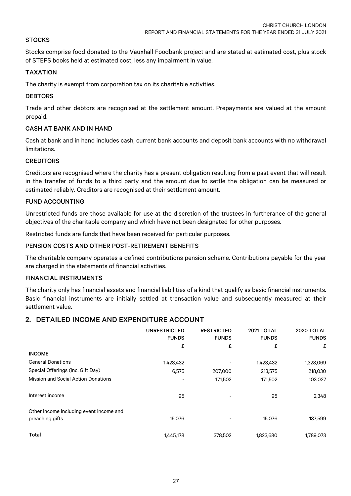#### **STOCKS**

Stocks comprise food donated to the Vauxhall Foodbank project and are stated at estimated cost, plus stock of STEPS books held at estimated cost, less any impairment in value.

#### TAXATION

The charity is exempt from corporation tax on its charitable activities.

#### **DEBTORS**

Trade and other debtors are recognised at the settlement amount. Prepayments are valued at the amount prepaid.

#### CASH AT BANK AND IN HAND

Cash at bank and in hand includes cash, current bank accounts and deposit bank accounts with no withdrawal limitations.

#### **CREDITORS**

Creditors are recognised where the charity has a present obligation resulting from a past event that will result in the transfer of funds to a third party and the amount due to settle the obligation can be measured or estimated reliably. Creditors are recognised at their settlement amount.

#### FUND ACCOUNTING

Unrestricted funds are those available for use at the discretion of the trustees in furtherance of the general objectives of the charitable company and which have not been designated for other purposes.

Restricted funds are funds that have been received for particular purposes.

#### PENSION COSTS AND OTHER POST-RETIREMENT BENEFITS

The charitable company operates a defined contributions pension scheme. Contributions payable for the year are charged in the statements of financial activities.

#### FINANCIAL INSTRUMENTS

The charity only has financial assets and financial liabilities of a kind that qualify as basic financial instruments. Basic financial instruments are initially settled at transaction value and subsequently measured at their settlement value.

## 2. DETAILED INCOME AND EXPENDITURE ACCOUNT

|                                                            | <b>UNRESTRICTED</b><br><b>FUNDS</b> | <b>RESTRICTED</b><br><b>FUNDS</b> | 2021 TOTAL<br><b>FUNDS</b> | 2020 TOTAL<br><b>FUNDS</b> |
|------------------------------------------------------------|-------------------------------------|-----------------------------------|----------------------------|----------------------------|
|                                                            | £                                   | £                                 | £                          | £                          |
| <b>INCOME</b>                                              |                                     |                                   |                            |                            |
| <b>General Donations</b>                                   | 1,423,432                           |                                   | 1,423,432                  | 1,328,069                  |
| Special Offerings (inc. Gift Day)                          | 6,575                               | 207,000                           | 213,575                    | 218,030                    |
| <b>Mission and Social Action Donations</b>                 |                                     | 171,502                           | 171,502                    | 103,027                    |
| Interest income                                            | 95                                  |                                   | 95                         | 2,348                      |
| Other income including event income and<br>preaching gifts | 15,076                              |                                   | 15,076                     | 137,599                    |
| Total                                                      | 1,445,178                           | 378,502                           | 1,823,680                  | 1,789,073                  |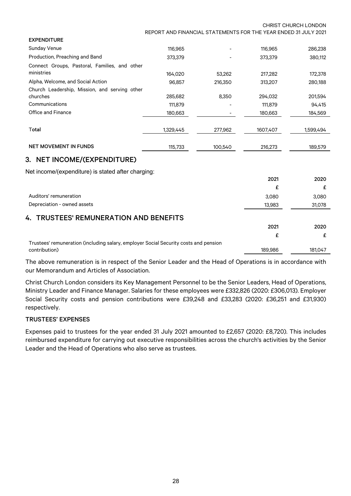CHRIST CHURCH LONDON REPORT AND FINANCIAL STATEMENTS FOR THE YEAR ENDED 31 JULY 2021

| <b>EXPENDITURE</b>                            |           |         |          |           |
|-----------------------------------------------|-----------|---------|----------|-----------|
| <b>Sunday Venue</b>                           | 116.965   |         | 116,965  | 286,238   |
| Production, Preaching and Band                | 373,379   |         | 373,379  | 380,112   |
| Connect Groups, Pastoral, Families, and other |           |         |          |           |
| ministries                                    | 164,020   | 53.262  | 217,282  | 172,378   |
| Alpha, Welcome, and Social Action             | 96.857    | 216,350 | 313,207  | 280,188   |
| Church Leadership, Mission, and serving other |           |         |          |           |
| churches                                      | 285.682   | 8.350   | 294,032  | 201,594   |
| Communications                                | 111,879   |         | 111,879  | 94,415    |
| Office and Finance                            | 180,663   |         | 180,663  | 184,569   |
|                                               |           |         |          |           |
| Total                                         | 1,329,445 | 277,962 | 1607.407 | 1.599.494 |
|                                               |           |         |          |           |
| <b>NET MOVEMENT IN FUNDS</b>                  | 115,733   | 100.540 | 216,273  | 189.579   |

## 3. NET INCOME/(EXPENDITURE)

Net income/(expenditure) is stated after charging:

|                                                                                      | 2021    | 2020    |
|--------------------------------------------------------------------------------------|---------|---------|
|                                                                                      | £       |         |
| Auditors' remuneration                                                               | 3,080   | 3,080   |
| Depreciation - owned assets                                                          | 13,983  | 31,078  |
| 4. TRUSTEES' REMUNERATION AND BENEFITS                                               |         |         |
|                                                                                      | 2021    | 2020    |
|                                                                                      | f       |         |
| Trustees' remuneration (including salary, employer Social Security costs and pension |         |         |
| contribution)                                                                        | 189,986 | 181,047 |

The above remuneration is in respect of the Senior Leader and the Head of Operations is in accordance with our Memorandum and Articles of Association.

Christ Church London considers its Key Management Personnel to be the Senior Leaders, Head of Operations, Ministry Leader and Finance Manager. Salaries for these employees were £332,826 (2020: £306,013). Employer Social Security costs and pension contributions were £39,248 and £33,283 (2020: £36,251 and £31,930) respectively.

#### TRUSTEES' EXPENSES

Expenses paid to trustees for the year ended 31 July 2021 amounted to £2,657 (2020: £8,720). This includes reimbursed expenditure for carrying out executive responsibilities across the church's activities by the Senior Leader and the Head of Operations who also serve as trustees.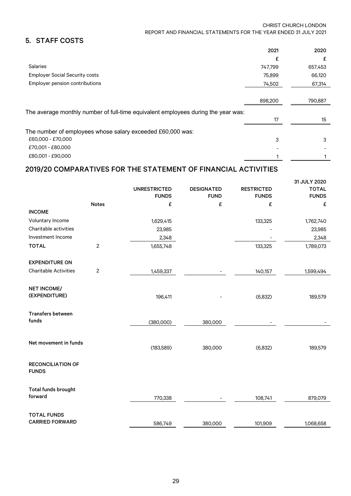#### CHRIST CHURCH LONDON REPORT AND FINANCIAL STATEMENTS FOR THE YEAR ENDED 31 JULY 2021

# 5. STAFF COSTS

|                                                                                   | 2021    | 2020    |
|-----------------------------------------------------------------------------------|---------|---------|
|                                                                                   | £       |         |
| <b>Salaries</b>                                                                   | 747,799 | 657,453 |
| <b>Employer Social Security costs</b>                                             | 75,899  | 66,120  |
| Employer pension contributions                                                    | 74,502  | 67,314  |
|                                                                                   |         |         |
|                                                                                   | 898,200 | 790,887 |
| The average monthly number of full-time equivalent employees during the year was: |         |         |
|                                                                                   | 17      | 15      |
| The number of employees whose salary exceeded £60,000 was:                        |         |         |
| £60.000 - £70.000                                                                 | 3       | 3       |
| £70,001 - £80,000                                                                 |         |         |
| £80.001 - £90.000                                                                 |         |         |

# 2019/20 COMPARATIVES FOR THE STATEMENT OF FINANCIAL ACTIVITIES

|                                              |                | <b>UNRESTRICTED</b> | <b>DESIGNATED</b> | <b>RESTRICTED</b> | 31 JULY 2020<br><b>TOTAL</b> |
|----------------------------------------------|----------------|---------------------|-------------------|-------------------|------------------------------|
|                                              |                | <b>FUNDS</b>        | <b>FUND</b>       | <b>FUNDS</b>      | <b>FUNDS</b>                 |
|                                              | <b>Notes</b>   | £                   | £                 | £                 | £                            |
| <b>INCOME</b>                                |                |                     |                   |                   |                              |
| Voluntary Income                             |                | 1,629,415           |                   | 133,325           | 1,762,740                    |
| Charitable activities                        |                | 23,985              |                   |                   | 23,985                       |
| Investment Income                            |                | 2,348               |                   |                   | 2,348                        |
| <b>TOTAL</b>                                 | $\overline{2}$ | 1,655,748           |                   | 133,325           | 1,789,073                    |
| <b>EXPENDITURE ON</b>                        |                |                     |                   |                   |                              |
| <b>Charitable Activities</b>                 | $\overline{2}$ | 1,459,337           |                   | 140,157           | 1,599,494                    |
| <b>NET INCOME/</b><br>(EXPENDITURE)          |                | 196,411             |                   | (6, 832)          | 189,579                      |
| <b>Transfers between</b><br>funds            |                | (380,000)           | 380,000           |                   |                              |
| Net movement in funds                        |                | (183, 589)          | 380,000           | (6, 832)          | 189,579                      |
| <b>RECONCILIATION OF</b><br><b>FUNDS</b>     |                |                     |                   |                   |                              |
| Total funds brought<br>forward               |                | 770,338             |                   | 108,741           | 879,079                      |
| <b>TOTAL FUNDS</b><br><b>CARRIED FORWARD</b> |                | 586,749             | 380,000           | 101,909           | 1,068,658                    |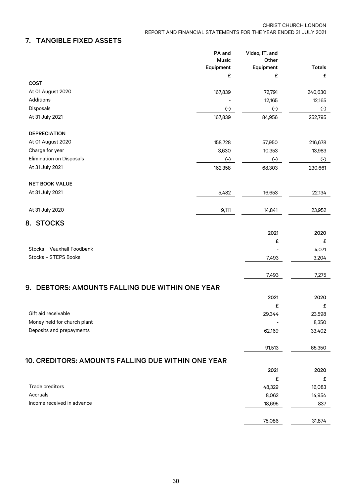# 7. TANGIBLE FIXED ASSETS

|                                                           | PA and<br><b>Music</b> | Video, IT, and<br>Other |                    |
|-----------------------------------------------------------|------------------------|-------------------------|--------------------|
|                                                           | Equipment<br>£         | Equipment<br>£          | <b>Totals</b><br>£ |
| <b>COST</b>                                               |                        |                         |                    |
| At 01 August 2020                                         | 167,839                | 72,791                  | 240,630            |
| Additions                                                 |                        | 12,165                  | 12,165             |
| Disposals                                                 | $(\textnormal{-})$     | $(\cdot)$               | $(\textnormal{-})$ |
| At 31 July 2021                                           | 167,839                | 84,956                  | 252,795            |
| <b>DEPRECIATION</b>                                       |                        |                         |                    |
| At 01 August 2020                                         | 158,728                | 57,950                  | 216,678            |
| Charge for year                                           | 3,630                  | 10,353                  | 13,983             |
| <b>Elimination on Disposals</b>                           | $\left( -\right)$      | $(\cdot)$               | $(\cdot)$          |
| At 31 July 2021                                           | 162,358                | 68,303                  | 230,661            |
| <b>NET BOOK VALUE</b>                                     |                        |                         |                    |
| At 31 July 2021                                           | 5,482                  | 16,653                  | 22,134             |
| At 31 July 2020                                           | 9,111                  | 14,841                  | 23,952             |
| 8. STOCKS                                                 |                        |                         |                    |
|                                                           |                        | 2021                    | 2020               |
|                                                           |                        | £                       | £                  |
| Stocks - Vauxhall Foodbank                                |                        |                         | 4,071              |
| Stocks - STEPS Books                                      |                        | 7,493                   | 3,204              |
|                                                           |                        | 7,493                   | 7,275              |
| 9. DEBTORS: AMOUNTS FALLING DUE WITHIN ONE YEAR           |                        |                         |                    |
|                                                           |                        | 2021                    | 2020               |
|                                                           |                        | £                       | £                  |
| Gift aid receivable                                       |                        | 29,344                  | 23,598             |
| Money held for church plant                               |                        |                         | 8,350              |
| Deposits and prepayments                                  |                        | 62,169                  | 33,402             |
|                                                           |                        | 91,513                  | 65,350             |
| <b>10. CREDITORS: AMOUNTS FALLING DUE WITHIN ONE YEAR</b> |                        |                         |                    |
|                                                           |                        | 2021                    | 2020               |
|                                                           |                        | £                       | £                  |
| Trade creditors                                           |                        | 48,329                  | 16,083             |
| Accruals                                                  |                        | 8,062                   | 14,954             |
| Income received in advance                                |                        | 18,695                  | 837                |
|                                                           |                        | 75,086                  | 31,874             |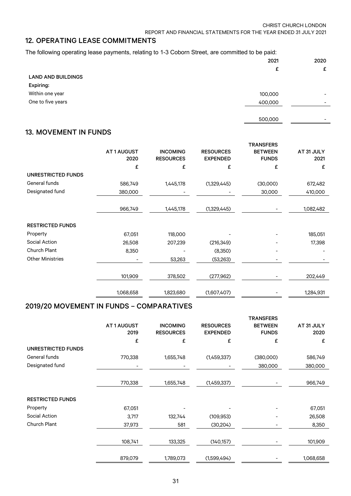## 12. OPERATING LEASE COMMITMENTS

The following operating lease payments, relating to 1-3 Coborn Street, are committed to be paid:

|                           | 2021    | 2020                     |
|---------------------------|---------|--------------------------|
|                           | £       | £                        |
| <b>LAND AND BUILDINGS</b> |         |                          |
| Expiring:                 |         |                          |
| Within one year           | 100,000 | $\overline{\phantom{a}}$ |
| One to five years         | 400,000 | $\overline{\phantom{0}}$ |
|                           |         |                          |

# 500,000 -

### 13. MOVEMENT IN FUNDS

|                         |             |                  |                  | <b>TRANSFERS</b> |            |
|-------------------------|-------------|------------------|------------------|------------------|------------|
|                         | AT 1 AUGUST | <b>INCOMING</b>  | <b>RESOURCES</b> | <b>BETWEEN</b>   | AT 31 JULY |
|                         | 2020        | <b>RESOURCES</b> | <b>EXPENDED</b>  | <b>FUNDS</b>     | 2021       |
|                         | £           | £                | £                | £                | £          |
| UNRESTRICTED FUNDS      |             |                  |                  |                  |            |
| General funds           | 586,749     | 1,445,178        | (1,329,445)      | (30,000)         | 672,482    |
| Designated fund         | 380,000     |                  |                  | 30,000           | 410,000    |
|                         |             |                  |                  |                  |            |
|                         | 966,749     | 1,445,178        | (1,329,445)      |                  | 1,082,482  |
| <b>RESTRICTED FUNDS</b> |             |                  |                  |                  |            |
| Property                | 67,051      | 118,000          |                  |                  | 185,051    |
| Social Action           | 26,508      | 207,239          | (216, 349)       |                  | 17,398     |
| Church Plant            | 8,350       |                  | (8,350)          |                  |            |
| <b>Other Ministries</b> |             | 53,263           | (53,263)         |                  |            |
|                         | 101,909     | 378,502          | (277, 962)       |                  | 202,449    |
|                         | 1,068,658   | 1,823,680        | (1,607,407)      |                  | 1,284,931  |

## 2019/20 MOVEMENT IN FUNDS – COMPARATIVES

|                         | AT1AUGUST<br>2019 | <b>INCOMING</b><br><b>RESOURCES</b> | <b>RESOURCES</b><br><b>EXPENDED</b> | <b>TRANSFERS</b><br><b>BETWEEN</b><br><b>FUNDS</b> | AT 31 JULY<br>2020 |
|-------------------------|-------------------|-------------------------------------|-------------------------------------|----------------------------------------------------|--------------------|
|                         | £                 | £                                   | £                                   | £                                                  | £                  |
| UNRESTRICTED FUNDS      |                   |                                     |                                     |                                                    |                    |
| General funds           | 770,338           | 1,655,748                           | (1,459,337)                         | (380,000)                                          | 586,749            |
| Designated fund         |                   |                                     |                                     | 380,000                                            | 380,000            |
|                         |                   |                                     |                                     |                                                    |                    |
|                         | 770,338           | 1,655,748                           | (1,459,337)                         |                                                    | 966,749            |
| <b>RESTRICTED FUNDS</b> |                   |                                     |                                     |                                                    |                    |
| Property                | 67,051            |                                     |                                     |                                                    | 67,051             |
| Social Action           | 3,717             | 132,744                             | (109.953)                           |                                                    | 26,508             |
| <b>Church Plant</b>     | 37,973            | 581                                 | (30, 204)                           |                                                    | 8,350              |
|                         | 108,741           | 133,325                             | (140, 157)                          |                                                    | 101,909            |
|                         | 879,079           | 1,789,073                           | (1,599,494)                         |                                                    | 1,068,658          |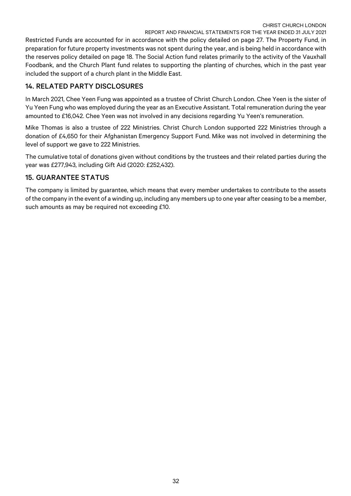Restricted Funds are accounted for in accordance with the policy detailed on page 27. The Property Fund, in preparation for future property investments was not spent during the year, and is being held in accordance with the reserves policy detailed on page 18. The Social Action fund relates primarily to the activity of the Vauxhall Foodbank, and the Church Plant fund relates to supporting the planting of churches, which in the past year included the support of a church plant in the Middle East.

# 14. RELATED PARTY DISCLOSURES

In March 2021, Chee Yeen Fung was appointed as a trustee of Christ Church London. Chee Yeen is the sister of Yu Yeen Fung who was employed during the year as an Executive Assistant. Total remuneration during the year amounted to £16,042. Chee Yeen was not involved in any decisions regarding Yu Yeen's remuneration.

Mike Thomas is also a trustee of 222 Ministries. Christ Church London supported 222 Ministries through a donation of £4,650 for their Afghanistan Emergency Support Fund. Mike was not involved in determining the level of support we gave to 222 Ministries.

The cumulative total of donations given without conditions by the trustees and their related parties during the year was £277,943, including Gift Aid (2020: £252,432).

# 15. GUARANTEE STATUS

The company is limited by guarantee, which means that every member undertakes to contribute to the assets of the company in the event of a winding up, including any members up to one year after ceasing to be a member, such amounts as may be required not exceeding £10.